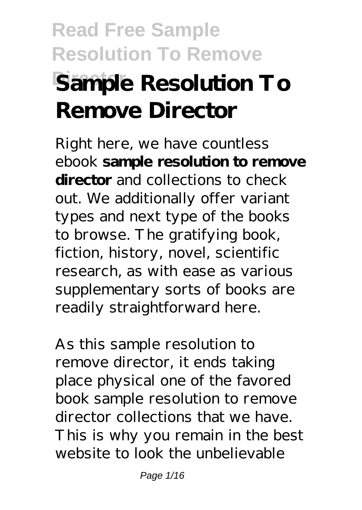# **Read Free Sample Resolution To Remove Sample Resolution To Remove Director**

Right here, we have countless ebook **sample resolution to remove director** and collections to check out. We additionally offer variant types and next type of the books to browse. The gratifying book, fiction, history, novel, scientific research, as with ease as various supplementary sorts of books are readily straightforward here.

As this sample resolution to remove director, it ends taking place physical one of the favored book sample resolution to remove director collections that we have. This is why you remain in the best website to look the unbelievable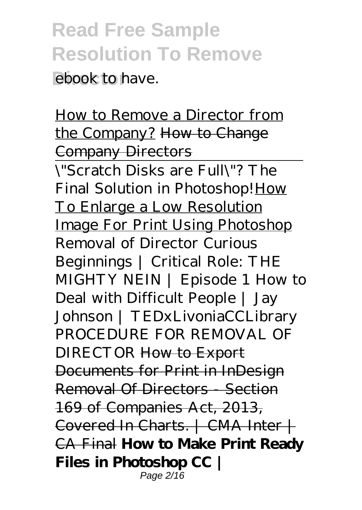**ebook** to have.

How to Remove a Director from the Company? How to Change Company Directors

\"Scratch Disks are Full\"? The Final Solution in Photoshop! How To Enlarge a Low Resolution Image For Print Using Photoshop *Removal of Director Curious Beginnings | Critical Role: THE MIGHTY NEIN | Episode 1* How to Deal with Difficult People | Jay Johnson | TEDxLivoniaCCLibrary *PROCEDURE FOR REMOVAL OF DIRECTOR* How to Export Documents for Print in InDesign Removal Of Directors - Section 169 of Companies Act, 2013, Covered In Charts. | CMA Inter | CA Final **How to Make Print Ready Files in Photoshop CC |** Page 2/16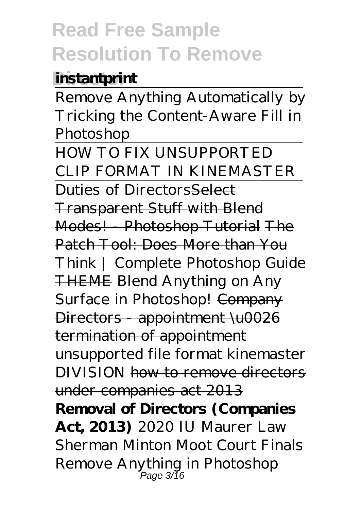#### **instantprint**

Remove Anything Automatically by Tricking the Content-Aware Fill in Photoshop

HOW TO FIX UNSUPPORTED CLIP FORMAT IN KINEMASTER Duties of DirectorsSelect Transparent Stuff with Blend Modes! - Photoshop Tutorial The Patch Tool: Does More than You Think | Complete Photoshop Guide THEME *Blend Anything on Any* **Surface in Photoshop!** Company Directors - appointment \u0026 termination of appointment unsupported file format kinemaster DIVISION how to remove directors under companies act 2013 **Removal of Directors (Companies Act, 2013)** *2020 IU Maurer Law Sherman Minton Moot Court Finals Remove Anything in Photoshop* Page 3/16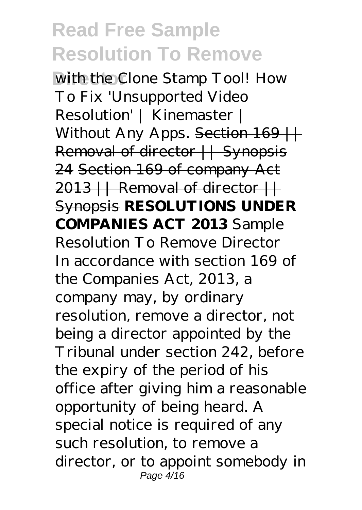*With the Clone Stamp Tool!* How To Fix 'Unsupported Video Resolution' | Kinemaster | Without Any Apps. Section 169 || Removal of director || Synopsis 24 Section 169 of company Act  $2013$  || Removal of director || Synopsis **RESOLUTIONS UNDER COMPANIES ACT 2013** Sample Resolution To Remove Director In accordance with section 169 of the Companies Act, 2013, a company may, by ordinary resolution, remove a director, not being a director appointed by the Tribunal under section 242, before the expiry of the period of his office after giving him a reasonable opportunity of being heard. A special notice is required of any such resolution, to remove a director, or to appoint somebody in Page 4/16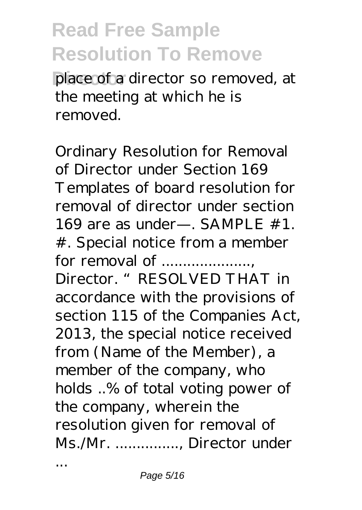place of a director so removed, at the meeting at which he is removed.

Ordinary Resolution for Removal of Director under Section 169 Templates of board resolution for removal of director under section 169 are as under—. SAMPLE #1. #. Special notice from a member for removal of ....................., Director. "RESOLVED THAT in accordance with the provisions of section 115 of the Companies Act, 2013, the special notice received from (Name of the Member), a member of the company, who holds ..% of total voting power of the company, wherein the resolution given for removal of Ms./Mr. ..............., Director under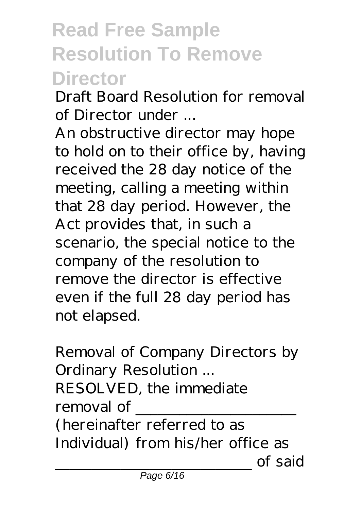# **Read Free Sample Resolution To Remove Director**

Draft Board Resolution for removal of Director under ...

An obstructive director may hope to hold on to their office by, having received the 28 day notice of the meeting, calling a meeting within that 28 day period. However, the Act provides that, in such a scenario, the special notice to the company of the resolution to remove the director is effective even if the full 28 day period has not elapsed.

Removal of Company Directors by Ordinary Resolution ... RESOLVED, the immediate removal of \_\_\_\_\_\_\_\_\_\_\_\_\_\_\_\_\_\_\_\_\_\_ (hereinafter referred to as Individual) from his/her office as \_\_\_\_\_\_\_\_\_\_\_\_\_\_\_\_\_\_\_\_\_\_\_\_\_\_\_ of said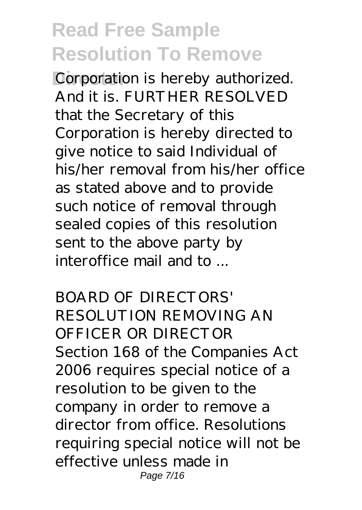Corporation is hereby authorized. And it is. FURTHER RESOLVED that the Secretary of this Corporation is hereby directed to give notice to said Individual of his/her removal from his/her office as stated above and to provide such notice of removal through sealed copies of this resolution sent to the above party by interoffice mail and to ...

BOARD OF DIRECTORS' RESOLUTION REMOVING AN OFFICER OR DIRECTOR Section 168 of the Companies Act 2006 requires special notice of a resolution to be given to the company in order to remove a director from office. Resolutions requiring special notice will not be effective unless made in Page 7/16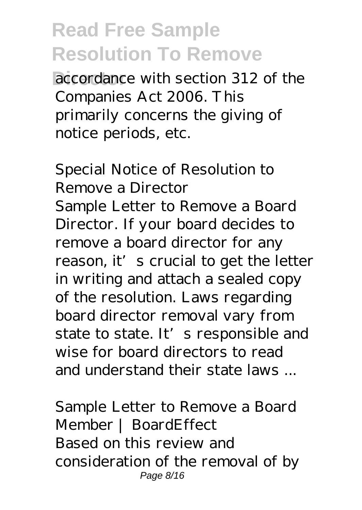**Director accordance** with section 312 of the Companies Act 2006. This primarily concerns the giving of notice periods, etc.

Special Notice of Resolution to Remove a Director Sample Letter to Remove a Board Director. If your board decides to remove a board director for any reason, it's crucial to get the letter in writing and attach a sealed copy of the resolution. Laws regarding board director removal vary from state to state. It's responsible and wise for board directors to read and understand their state laws

Sample Letter to Remove a Board Member | BoardEffect Based on this review and consideration of the removal of by Page 8/16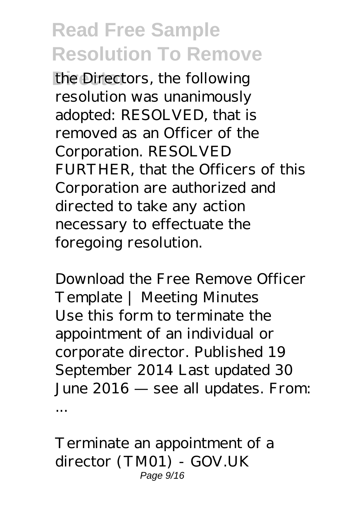**Director** the Directors, the following resolution was unanimously adopted: RESOLVED, that is removed as an Officer of the Corporation. RESOLVED FURTHER, that the Officers of this Corporation are authorized and directed to take any action necessary to effectuate the foregoing resolution.

Download the Free Remove Officer Template | Meeting Minutes Use this form to terminate the appointment of an individual or corporate director. Published 19 September 2014 Last updated 30 June 2016 — see all updates. From: ...

Terminate an appointment of a director (TM01) - GOV.UK Page 9/16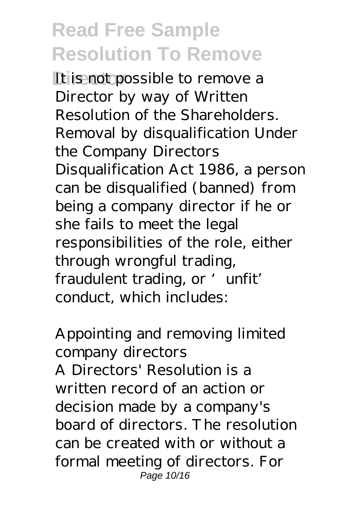It is not possible to remove a Director by way of Written Resolution of the Shareholders. Removal by disqualification Under the Company Directors Disqualification Act 1986, a person can be disqualified (banned) from being a company director if he or she fails to meet the legal responsibilities of the role, either through wrongful trading, fraudulent trading, or 'unfit' conduct, which includes:

Appointing and removing limited company directors A Directors' Resolution is a written record of an action or decision made by a company's board of directors. The resolution can be created with or without a formal meeting of directors. For Page 10/16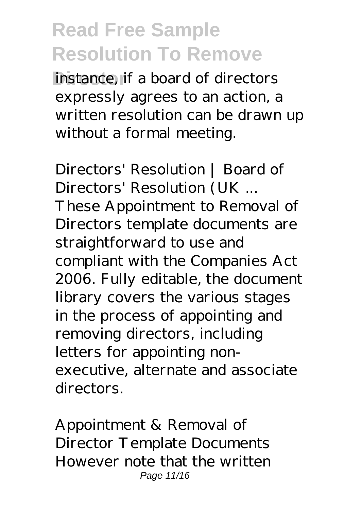**instance**, if a board of directors expressly agrees to an action, a written resolution can be drawn up without a formal meeting.

Directors' Resolution | Board of Directors' Resolution (UK ... These Appointment to Removal of Directors template documents are straightforward to use and compliant with the Companies Act 2006. Fully editable, the document library covers the various stages in the process of appointing and removing directors, including letters for appointing nonexecutive, alternate and associate directors.

Appointment & Removal of Director Template Documents However note that the written Page 11/16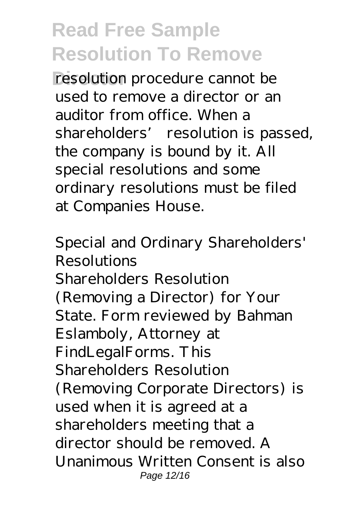resolution procedure cannot be used to remove a director or an auditor from office. When a shareholders' resolution is passed, the company is bound by it. All special resolutions and some ordinary resolutions must be filed at Companies House.

Special and Ordinary Shareholders' Resolutions Shareholders Resolution (Removing a Director) for Your State. Form reviewed by Bahman Eslamboly, Attorney at FindLegalForms. This Shareholders Resolution (Removing Corporate Directors) is used when it is agreed at a shareholders meeting that a director should be removed. A Unanimous Written Consent is also Page 12/16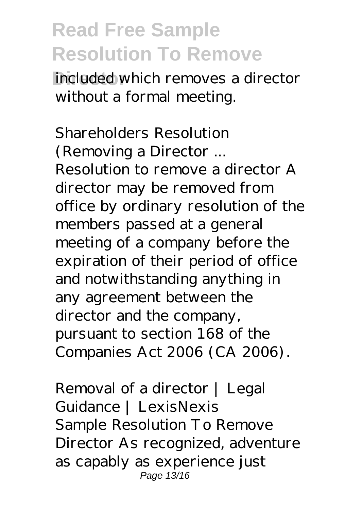**Included which removes a director** without a formal meeting.

Shareholders Resolution (Removing a Director ... Resolution to remove a director A director may be removed from office by ordinary resolution of the members passed at a general meeting of a company before the expiration of their period of office and notwithstanding anything in any agreement between the director and the company, pursuant to section 168 of the Companies Act 2006 (CA 2006).

Removal of a director | Legal Guidance | LexisNexis Sample Resolution To Remove Director As recognized, adventure as capably as experience just Page 13/16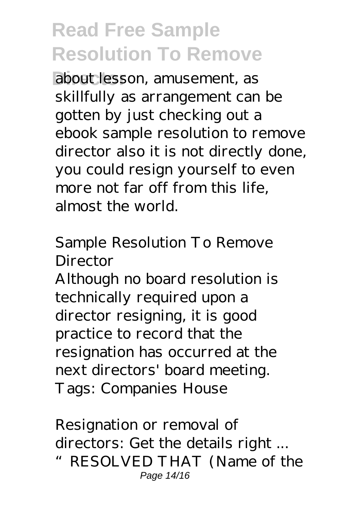about lesson, amusement, as skillfully as arrangement can be gotten by just checking out a ebook sample resolution to remove director also it is not directly done, you could resign yourself to even more not far off from this life, almost the world.

Sample Resolution To Remove Director

Although no board resolution is technically required upon a director resigning, it is good practice to record that the resignation has occurred at the next directors' board meeting. Tags: Companies House

Resignation or removal of directors: Get the details right ... "RESOLVED THAT (Name of the Page 14/16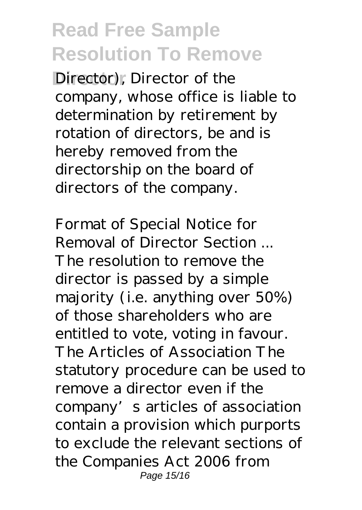Director), Director of the company, whose office is liable to determination by retirement by rotation of directors, be and is hereby removed from the directorship on the board of directors of the company.

Format of Special Notice for Removal of Director Section ... The resolution to remove the director is passed by a simple majority (i.e. anything over 50%) of those shareholders who are entitled to vote, voting in favour. The Articles of Association The statutory procedure can be used to remove a director even if the company's articles of association contain a provision which purports to exclude the relevant sections of the Companies Act 2006 from Page 15/16